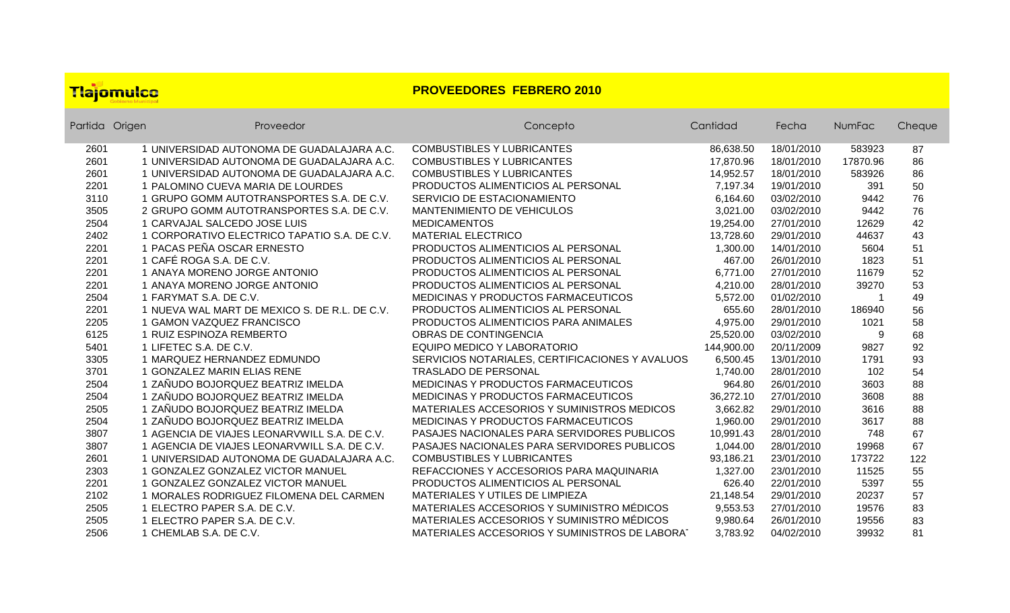## Tlajomulco

## **PROVEEDORES FEBRERO 2010**

| Partida Origen | Proveedor                                     | Concepto                                           | Cantidad   | Fecha      | NumFac   | Cheque |
|----------------|-----------------------------------------------|----------------------------------------------------|------------|------------|----------|--------|
| 2601           | 1 UNIVERSIDAD AUTONOMA DE GUADALAJARA A.C.    | <b>COMBUSTIBLES Y LUBRICANTES</b>                  | 86,638.50  | 18/01/2010 | 583923   | 87     |
| 2601           | 1 UNIVERSIDAD AUTONOMA DE GUADALAJARA A.C.    | <b>COMBUSTIBLES Y LUBRICANTES</b>                  | 17,870.96  | 18/01/2010 | 17870.96 | 86     |
| 2601           | 1 UNIVERSIDAD AUTONOMA DE GUADALAJARA A.C.    | <b>COMBUSTIBLES Y LUBRICANTES</b>                  | 14,952.57  | 18/01/2010 | 583926   | 86     |
| 2201           | 1 PALOMINO CUEVA MARIA DE LOURDES             | PRODUCTOS ALIMENTICIOS AL PERSONAL                 | 7,197.34   | 19/01/2010 | 391      | 50     |
| 3110           | 1 GRUPO GOMM AUTOTRANSPORTES S.A. DE C.V.     | SERVICIO DE ESTACIONAMIENTO                        | 6,164.60   | 03/02/2010 | 9442     | 76     |
| 3505           | 2 GRUPO GOMM AUTOTRANSPORTES S.A. DE C.V.     | MANTENIMIENTO DE VEHICULOS                         | 3,021.00   | 03/02/2010 | 9442     | 76     |
| 2504           | 1 CARVAJAL SALCEDO JOSE LUIS                  | <b>MEDICAMENTOS</b>                                | 19,254.00  | 27/01/2010 | 12629    | 42     |
| 2402           | 1 CORPORATIVO ELECTRICO TAPATIO S.A. DE C.V.  | <b>MATERIAL ELECTRICO</b>                          | 13,728.60  | 29/01/2010 | 44637    | 43     |
| 2201           | 1 PACAS PEÑA OSCAR ERNESTO                    | PRODUCTOS ALIMENTICIOS AL PERSONAL                 | 1,300.00   | 14/01/2010 | 5604     | 51     |
| 2201           | 1 CAFÉ ROGA S.A. DE C.V.                      | PRODUCTOS ALIMENTICIOS AL PERSONAL                 | 467.00     | 26/01/2010 | 1823     | 51     |
| 2201           | 1 ANAYA MORENO JORGE ANTONIO                  | PRODUCTOS ALIMENTICIOS AL PERSONAL                 | 6,771.00   | 27/01/2010 | 11679    | 52     |
| 2201           | 1 ANAYA MORENO JORGE ANTONIO                  | PRODUCTOS ALIMENTICIOS AL PERSONAL                 | 4,210.00   | 28/01/2010 | 39270    | 53     |
| 2504           | 1 FARYMAT S.A. DE C.V.                        | MEDICINAS Y PRODUCTOS FARMACEUTICOS                | 5,572.00   | 01/02/2010 |          | 49     |
| 2201           | 1 NUEVA WAL MART DE MEXICO S. DE R.L. DE C.V. | PRODUCTOS ALIMENTICIOS AL PERSONAL                 | 655.60     | 28/01/2010 | 186940   | 56     |
| 2205           | 1 GAMON VAZQUEZ FRANCISCO                     | PRODUCTOS ALIMENTICIOS PARA ANIMALES               | 4,975.00   | 29/01/2010 | 1021     | 58     |
| 6125           | 1 RUIZ ESPINOZA REMBERTO                      | <b>OBRAS DE CONTINGENCIA</b>                       | 25,520.00  | 03/02/2010 | 9        | 68     |
| 5401           | 1 LIFETEC S.A. DE C.V.                        | EQUIPO MEDICO Y LABORATORIO                        | 144,900.00 | 20/11/2009 | 9827     | 92     |
| 3305           | 1 MARQUEZ HERNANDEZ EDMUNDO                   | SERVICIOS NOTARIALES, CERTIFICACIONES Y AVALUOS    | 6,500.45   | 13/01/2010 | 1791     | 93     |
| 3701           | 1 GONZALEZ MARIN ELIAS RENE                   | <b>TRASLADO DE PERSONAL</b>                        | 1,740.00   | 28/01/2010 | 102      | 54     |
| 2504           | 1 ZAÑUDO BOJORQUEZ BEATRIZ IMELDA             | MEDICINAS Y PRODUCTOS FARMACEUTICOS                | 964.80     | 26/01/2010 | 3603     | 88     |
| 2504           | 1 ZAÑUDO BOJORQUEZ BEATRIZ IMELDA             | MEDICINAS Y PRODUCTOS FARMACEUTICOS                | 36,272.10  | 27/01/2010 | 3608     | 88     |
| 2505           | 1 ZAÑUDO BOJORQUEZ BEATRIZ IMELDA             | MATERIALES ACCESORIOS Y SUMINISTROS MEDICOS        | 3,662.82   | 29/01/2010 | 3616     | 88     |
| 2504           | 1 ZAÑUDO BOJORQUEZ BEATRIZ IMELDA             | MEDICINAS Y PRODUCTOS FARMACEUTICOS                | 1,960.00   | 29/01/2010 | 3617     | 88     |
| 3807           | 1 AGENCIA DE VIAJES LEONARVWILL S.A. DE C.V.  | <b>PASAJES NACIONALES PARA SERVIDORES PUBLICOS</b> | 10,991.43  | 28/01/2010 | 748      | 67     |
| 3807           | 1 AGENCIA DE VIAJES LEONARVWILL S.A. DE C.V.  | PASAJES NACIONALES PARA SERVIDORES PUBLICOS        | 1,044.00   | 28/01/2010 | 19968    | 67     |
| 2601           | 1 UNIVERSIDAD AUTONOMA DE GUADALAJARA A.C.    | <b>COMBUSTIBLES Y LUBRICANTES</b>                  | 93,186.21  | 23/01/2010 | 173722   | 122    |
| 2303           | 1 GONZALEZ GONZALEZ VICTOR MANUEL             | REFACCIONES Y ACCESORIOS PARA MAQUINARIA           | 1,327.00   | 23/01/2010 | 11525    | 55     |
| 2201           | 1 GONZALEZ GONZALEZ VICTOR MANUEL             | PRODUCTOS ALIMENTICIOS AL PERSONAL                 | 626.40     | 22/01/2010 | 5397     | 55     |
| 2102           | 1 MORALES RODRIGUEZ FILOMENA DEL CARMEN       | MATERIALES Y UTILES DE LIMPIEZA                    | 21,148.54  | 29/01/2010 | 20237    | 57     |
| 2505           | 1 ELECTRO PAPER S.A. DE C.V.                  | MATERIALES ACCESORIOS Y SUMINISTRO MÉDICOS         | 9,553.53   | 27/01/2010 | 19576    | 83     |
| 2505           | 1 ELECTRO PAPER S.A. DE C.V.                  | MATERIALES ACCESORIOS Y SUMINISTRO MÉDICOS         | 9,980.64   | 26/01/2010 | 19556    | 83     |
| 2506           | 1 CHEMLAB S.A. DE C.V.                        | MATERIALES ACCESORIOS Y SUMINISTROS DE LABORAT     | 3,783.92   | 04/02/2010 | 39932    | 81     |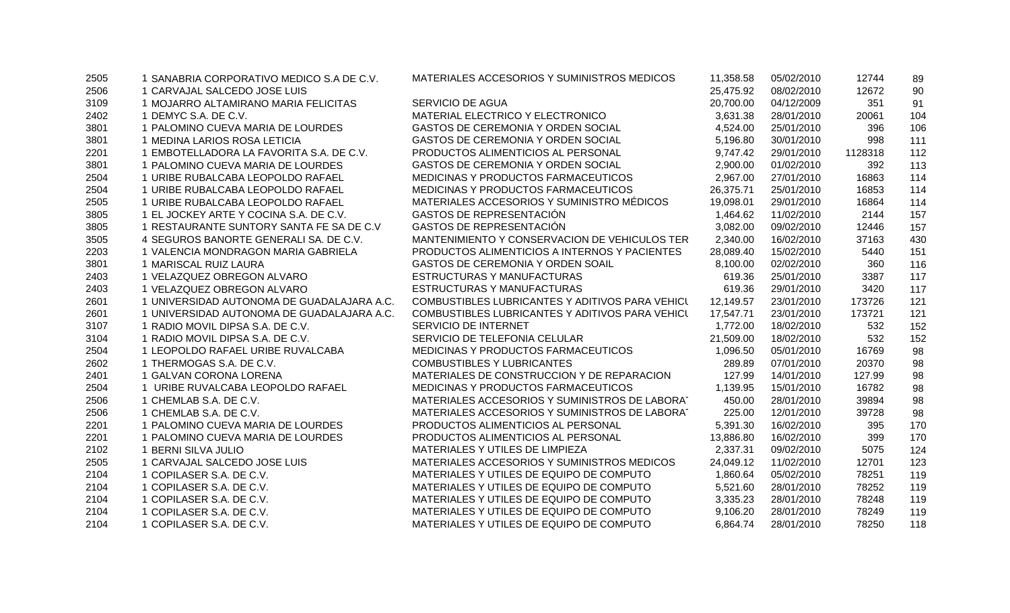| 2505 | 1 SANABRIA CORPORATIVO MEDICO S.A DE C.V.  | MATERIALES ACCESORIOS Y SUMINISTROS MEDICOS     | 11,358.58 | 05/02/2010 | 12744   | 89  |
|------|--------------------------------------------|-------------------------------------------------|-----------|------------|---------|-----|
| 2506 | 1 CARVAJAL SALCEDO JOSE LUIS               |                                                 | 25,475.92 | 08/02/2010 | 12672   | 90  |
| 3109 | 1 MOJARRO ALTAMIRANO MARIA FELICITAS       | <b>SERVICIO DE AGUA</b>                         | 20,700.00 | 04/12/2009 | 351     | 91  |
| 2402 | 1 DEMYC S.A. DE C.V.                       | MATERIAL ELECTRICO Y ELECTRONICO                | 3,631.38  | 28/01/2010 | 20061   | 104 |
| 3801 | 1 PALOMINO CUEVA MARIA DE LOURDES          | GASTOS DE CEREMONIA Y ORDEN SOCIAL              | 4,524.00  | 25/01/2010 | 396     | 106 |
| 3801 | 1 MEDINA LARIOS ROSA LETICIA               | GASTOS DE CEREMONIA Y ORDEN SOCIAL              | 5,196.80  | 30/01/2010 | 998     | 111 |
| 2201 | 1 EMBOTELLADORA LA FAVORITA S.A. DE C.V.   | PRODUCTOS ALIMENTICIOS AL PERSONAL              | 9,747.42  | 29/01/2010 | 1128318 | 112 |
| 3801 | 1 PALOMINO CUEVA MARIA DE LOURDES          | GASTOS DE CEREMONIA Y ORDEN SOCIAL              | 2,900.00  | 01/02/2010 | 392     | 113 |
| 2504 | 1 URIBE RUBALCABA LEOPOLDO RAFAEL          | MEDICINAS Y PRODUCTOS FARMACEUTICOS             | 2,967.00  | 27/01/2010 | 16863   | 114 |
| 2504 | 1 URIBE RUBALCABA LEOPOLDO RAFAEL          | MEDICINAS Y PRODUCTOS FARMACEUTICOS             | 26,375.71 | 25/01/2010 | 16853   | 114 |
| 2505 | 1 URIBE RUBALCABA LEOPOLDO RAFAEL          | MATERIALES ACCESORIOS Y SUMINISTRO MÉDICOS      | 19,098.01 | 29/01/2010 | 16864   | 114 |
| 3805 | 1 EL JOCKEY ARTE Y COCINA S.A. DE C.V.     | GASTOS DE REPRESENTACIÓN                        | 1,464.62  | 11/02/2010 | 2144    | 157 |
| 3805 | 1 RESTAURANTE SUNTORY SANTA FE SA DE C.V   | <b>GASTOS DE REPRESENTACIÓN</b>                 | 3,082.00  | 09/02/2010 | 12446   | 157 |
| 3505 | 4 SEGUROS BANORTE GENERALI SA. DE C.V.     | MANTENIMIENTO Y CONSERVACION DE VEHICULOS TER   | 2,340.00  | 16/02/2010 | 37163   | 430 |
| 2203 | 1 VALENCIA MONDRAGON MARIA GABRIELA        | PRODUCTOS ALIMENTICIOS A INTERNOS Y PACIENTES   | 28,089.40 | 15/02/2010 | 5440    | 151 |
| 3801 | 1 MARISCAL RUIZ LAURA                      | GASTOS DE CEREMONIA Y ORDEN SOAIL               | 8,100.00  | 02/02/2010 | 360     | 116 |
| 2403 | 1 VELAZQUEZ OBREGON ALVARO                 | ESTRUCTURAS Y MANUFACTURAS                      | 619.36    | 25/01/2010 | 3387    | 117 |
| 2403 | 1 VELAZQUEZ OBREGON ALVARO                 | ESTRUCTURAS Y MANUFACTURAS                      | 619.36    | 29/01/2010 | 3420    | 117 |
| 2601 | 1 UNIVERSIDAD AUTONOMA DE GUADALAJARA A.C. | COMBUSTIBLES LUBRICANTES Y ADITIVOS PARA VEHICL | 12,149.57 | 23/01/2010 | 173726  | 121 |
| 2601 | 1 UNIVERSIDAD AUTONOMA DE GUADALAJARA A.C. | COMBUSTIBLES LUBRICANTES Y ADITIVOS PARA VEHICL | 17,547.71 | 23/01/2010 | 173721  | 121 |
| 3107 | 1 RADIO MOVIL DIPSA S.A. DE C.V.           | SERVICIO DE INTERNET                            | 1,772.00  | 18/02/2010 | 532     | 152 |
| 3104 | 1 RADIO MOVIL DIPSA S.A. DE C.V.           | SERVICIO DE TELEFONIA CELULAR                   | 21,509.00 | 18/02/2010 | 532     | 152 |
| 2504 | 1 LEOPOLDO RAFAEL URIBE RUVALCABA          | MEDICINAS Y PRODUCTOS FARMACEUTICOS             | 1,096.50  | 05/01/2010 | 16769   | 98  |
| 2602 | 1 THERMOGAS S.A. DE C.V.                   | <b>COMBUSTIBLES Y LUBRICANTES</b>               | 289.89    | 07/01/2010 | 20370   | 98  |
| 2401 | 1 GALVAN CORONA LORENA                     | MATERIALES DE CONSTRUCCION Y DE REPARACION      | 127.99    | 14/01/2010 | 127.99  | 98  |
| 2504 | 1 URIBE RUVALCABA LEOPOLDO RAFAEL          | MEDICINAS Y PRODUCTOS FARMACEUTICOS             | 1,139.95  | 15/01/2010 | 16782   | 98  |
| 2506 | 1 CHEMLAB S.A. DE C.V.                     | MATERIALES ACCESORIOS Y SUMINISTROS DE LABORAT  | 450.00    | 28/01/2010 | 39894   | 98  |
| 2506 | 1 CHEMLAB S.A. DE C.V.                     | MATERIALES ACCESORIOS Y SUMINISTROS DE LABORAT  | 225.00    | 12/01/2010 | 39728   | 98  |
| 2201 | 1 PALOMINO CUEVA MARIA DE LOURDES          | PRODUCTOS ALIMENTICIOS AL PERSONAL              | 5,391.30  | 16/02/2010 | 395     | 170 |
| 2201 | 1 PALOMINO CUEVA MARIA DE LOURDES          | PRODUCTOS ALIMENTICIOS AL PERSONAL              | 13,886.80 | 16/02/2010 | 399     | 170 |
| 2102 | 1 BERNI SILVA JULIO                        | MATERIALES Y UTILES DE LIMPIEZA                 | 2,337.31  | 09/02/2010 | 5075    | 124 |
| 2505 | 1 CARVAJAL SALCEDO JOSE LUIS               | MATERIALES ACCESORIOS Y SUMINISTROS MEDICOS     | 24,049.12 | 11/02/2010 | 12701   | 123 |
| 2104 | 1 COPILASER S.A. DE C.V.                   | MATERIALES Y UTILES DE EQUIPO DE COMPUTO        | 1,860.64  | 05/02/2010 | 78251   | 119 |
| 2104 | 1 COPILASER S.A. DE C.V.                   | MATERIALES Y UTILES DE EQUIPO DE COMPUTO        | 5,521.60  | 28/01/2010 | 78252   | 119 |
| 2104 | 1 COPILASER S.A. DE C.V.                   | MATERIALES Y UTILES DE EQUIPO DE COMPUTO        | 3,335.23  | 28/01/2010 | 78248   | 119 |
| 2104 | 1 COPILASER S.A. DE C.V.                   | MATERIALES Y UTILES DE EQUIPO DE COMPUTO        | 9,106.20  | 28/01/2010 | 78249   | 119 |
| 2104 | 1 COPILASER S.A. DE C.V.                   | MATERIALES Y UTILES DE EQUIPO DE COMPUTO        | 6.864.74  | 28/01/2010 | 78250   | 118 |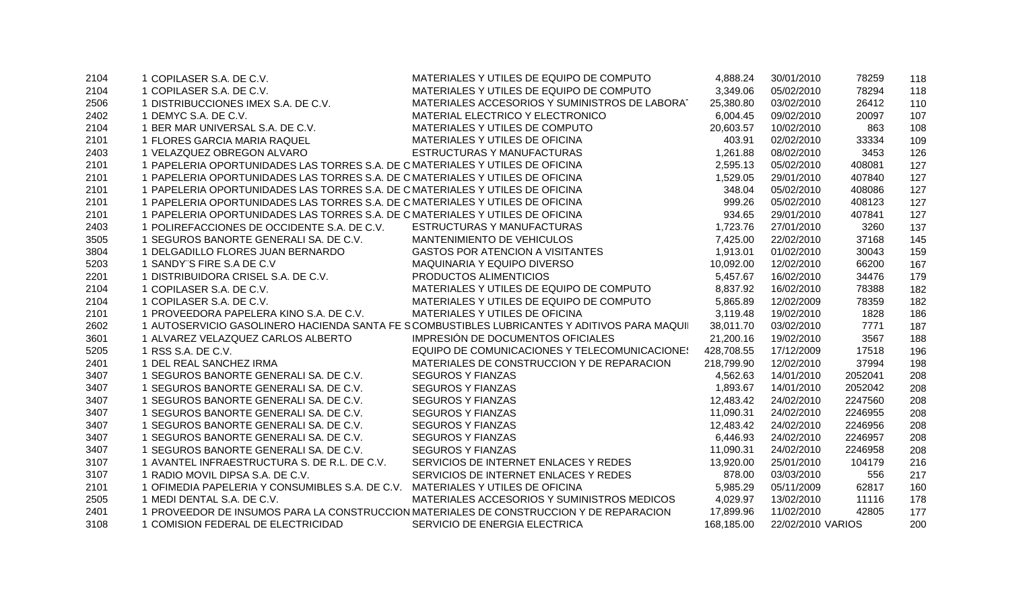| 2104 | 1 COPILASER S.A. DE C.V.                                                       | MATERIALES Y UTILES DE EQUIPO DE COMPUTO                                                     | 4,888.24   | 30/01/2010        | 78259   | 118 |
|------|--------------------------------------------------------------------------------|----------------------------------------------------------------------------------------------|------------|-------------------|---------|-----|
| 2104 | 1 COPILASER S.A. DE C.V.                                                       | MATERIALES Y UTILES DE EQUIPO DE COMPUTO                                                     | 3,349.06   | 05/02/2010        | 78294   | 118 |
| 2506 | 1 DISTRIBUCCIONES IMEX S.A. DE C.V.                                            | MATERIALES ACCESORIOS Y SUMINISTROS DE LABORAT                                               | 25,380.80  | 03/02/2010        | 26412   | 110 |
| 2402 | 1 DEMYC S.A. DE C.V.                                                           | MATERIAL ELECTRICO Y ELECTRONICO                                                             | 6,004.45   | 09/02/2010        | 20097   | 107 |
| 2104 | 1 BER MAR UNIVERSAL S.A. DE C.V.                                               | MATERIALES Y UTILES DE COMPUTO                                                               | 20,603.57  | 10/02/2010        | 863     | 108 |
| 2101 | 1 FLORES GARCIA MARIA RAQUEL                                                   | MATERIALES Y UTILES DE OFICINA                                                               | 403.91     | 02/02/2010        | 33334   | 109 |
| 2403 | 1 VELAZQUEZ OBREGON ALVARO                                                     | ESTRUCTURAS Y MANUFACTURAS                                                                   | 1,261.88   | 08/02/2010        | 3453    | 126 |
| 2101 | 1 PAPELERIA OPORTUNIDADES LAS TORRES S.A. DE C MATERIALES Y UTILES DE OFICINA  |                                                                                              | 2,595.13   | 05/02/2010        | 408081  | 127 |
| 2101 | 1 PAPELERIA OPORTUNIDADES LAS TORRES S.A. DE C MATERIALES Y UTILES DE OFICINA  |                                                                                              | 1,529.05   | 29/01/2010        | 407840  | 127 |
| 2101 | 1 PAPELERIA OPORTUNIDADES LAS TORRES S.A. DE C MATERIALES Y UTILES DE OFICINA  |                                                                                              | 348.04     | 05/02/2010        | 408086  | 127 |
| 2101 | 1 PAPELERIA OPORTUNIDADES LAS TORRES S.A. DE C MATERIALES Y UTILES DE OFICINA  |                                                                                              | 999.26     | 05/02/2010        | 408123  | 127 |
| 2101 | 1 PAPELERIA OPORTUNIDADES LAS TORRES S.A. DE C MATERIALES Y UTILES DE OFICINA  |                                                                                              | 934.65     | 29/01/2010        | 407841  | 127 |
| 2403 | 1 POLIREFACCIONES DE OCCIDENTE S.A. DE C.V.                                    | ESTRUCTURAS Y MANUFACTURAS                                                                   | 1,723.76   | 27/01/2010        | 3260    | 137 |
| 3505 | 1 SEGUROS BANORTE GENERALI SA. DE C.V.                                         | MANTENIMIENTO DE VEHICULOS                                                                   | 7,425.00   | 22/02/2010        | 37168   | 145 |
| 3804 | 1 DELGADILLO FLORES JUAN BERNARDO                                              | <b>GASTOS POR ATENCION A VISITANTES</b>                                                      | 1,913.01   | 01/02/2010        | 30043   | 159 |
| 5203 | 1 SANDY"S FIRE S.A DE C.V                                                      | MAQUINARIA Y EQUIPO DIVERSO                                                                  | 10,092.00  | 12/02/2010        | 66200   | 167 |
| 2201 | 1 DISTRIBUIDORA CRISEL S.A. DE C.V.                                            | PRODUCTOS ALIMENTICIOS                                                                       | 5,457.67   | 16/02/2010        | 34476   | 179 |
| 2104 | 1 COPILASER S.A. DE C.V.                                                       | MATERIALES Y UTILES DE EQUIPO DE COMPUTO                                                     | 8,837.92   | 16/02/2010        | 78388   | 182 |
| 2104 | 1 COPILASER S.A. DE C.V.                                                       | MATERIALES Y UTILES DE EQUIPO DE COMPUTO                                                     | 5,865.89   | 12/02/2009        | 78359   | 182 |
| 2101 | 1 PROVEEDORA PAPELERA KINO S.A. DE C.V.                                        | MATERIALES Y UTILES DE OFICINA                                                               | 3,119.48   | 19/02/2010        | 1828    | 186 |
| 2602 |                                                                                | 1 AUTOSERVICIO GASOLINERO HACIENDA SANTA FE SCOMBUSTIBLES LUBRICANTES Y ADITIVOS PARA MAQUII | 38,011.70  | 03/02/2010        | 7771    | 187 |
| 3601 | 1 ALVAREZ VELAZQUEZ CARLOS ALBERTO                                             | IMPRESIÓN DE DOCUMENTOS OFICIALES                                                            | 21,200.16  | 19/02/2010        | 3567    | 188 |
| 5205 | 1 RSS S.A. DE C.V.                                                             | EQUIPO DE COMUNICACIONES Y TELECOMUNICACIONES                                                | 428,708.55 | 17/12/2009        | 17518   | 196 |
| 2401 | 1 DEL REAL SANCHEZ IRMA                                                        | MATERIALES DE CONSTRUCCION Y DE REPARACION                                                   | 218,799.90 | 12/02/2010        | 37994   | 198 |
| 3407 | 1 SEGUROS BANORTE GENERALI SA. DE C.V.                                         | <b>SEGUROS Y FIANZAS</b>                                                                     | 4,562.63   | 14/01/2010        | 2052041 | 208 |
| 3407 | 1 SEGUROS BANORTE GENERALI SA. DE C.V.                                         | <b>SEGUROS Y FIANZAS</b>                                                                     | 1,893.67   | 14/01/2010        | 2052042 | 208 |
| 3407 | 1 SEGUROS BANORTE GENERALI SA. DE C.V.                                         | <b>SEGUROS Y FIANZAS</b>                                                                     | 12,483.42  | 24/02/2010        | 2247560 | 208 |
| 3407 | 1 SEGUROS BANORTE GENERALI SA. DE C.V.                                         | <b>SEGUROS Y FIANZAS</b>                                                                     | 11,090.31  | 24/02/2010        | 2246955 | 208 |
| 3407 | 1 SEGUROS BANORTE GENERALI SA. DE C.V.                                         | <b>SEGUROS Y FIANZAS</b>                                                                     | 12,483.42  | 24/02/2010        | 2246956 | 208 |
| 3407 | 1 SEGUROS BANORTE GENERALI SA. DE C.V.                                         | <b>SEGUROS Y FIANZAS</b>                                                                     | 6,446.93   | 24/02/2010        | 2246957 | 208 |
| 3407 | 1 SEGUROS BANORTE GENERALI SA. DE C.V.                                         | <b>SEGUROS Y FIANZAS</b>                                                                     | 11,090.31  | 24/02/2010        | 2246958 | 208 |
| 3107 | 1 AVANTEL INFRAESTRUCTURA S. DE R.L. DE C.V.                                   | SERVICIOS DE INTERNET ENLACES Y REDES                                                        | 13,920.00  | 25/01/2010        | 104179  | 216 |
| 3107 | 1 RADIO MOVIL DIPSA S.A. DE C.V.                                               | SERVICIOS DE INTERNET ENLACES Y REDES                                                        | 878.00     | 03/03/2010        | 556     | 217 |
| 2101 | 1 OFIMEDIA PAPELERIA Y CONSUMIBLES S.A. DE C.V. MATERIALES Y UTILES DE OFICINA |                                                                                              | 5,985.29   | 05/11/2009        | 62817   | 160 |
| 2505 | 1 MEDI DENTAL S.A. DE C.V.                                                     | MATERIALES ACCESORIOS Y SUMINISTROS MEDICOS                                                  | 4,029.97   | 13/02/2010        | 11116   | 178 |
| 2401 |                                                                                | 1 PROVEEDOR DE INSUMOS PARA LA CONSTRUCCION MATERIALES DE CONSTRUCCION Y DE REPARACION       | 17,899.96  | 11/02/2010        | 42805   | 177 |
| 3108 | 1 COMISION FEDERAL DE ELECTRICIDAD                                             | SERVICIO DE ENERGIA ELECTRICA                                                                | 168.185.00 | 22/02/2010 VARIOS |         | 200 |